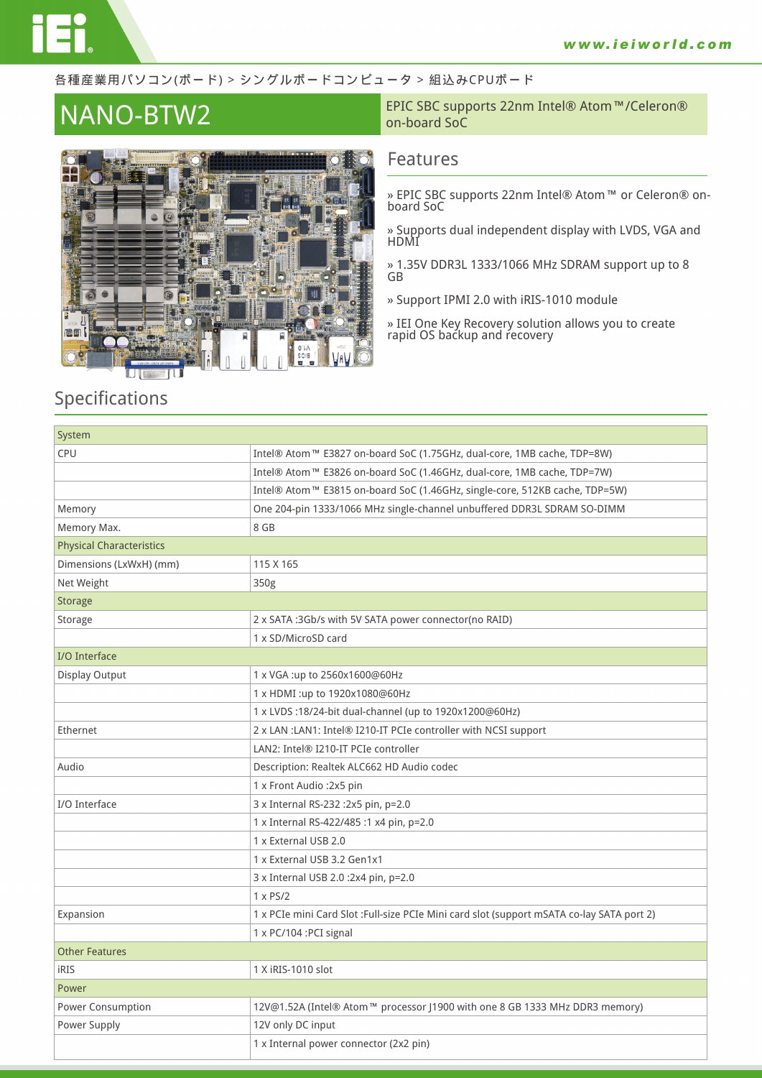#### 各種産業用パソコン(ボード) > シングルボードコンピュータ > 組込みCPUボード



**NANO-BTW2** EPIC SBC supports 22nm Intel® Atom™/Celeron®<br>
on-board SoC on-board SoC

### **Features**

- **» EPIC SBC supports 22nm Intel® Atom™ or Celeron® onboard SoC**
- **» Supports dual independent display with LVDS, VGA and HDMI**
- **» 1.35V DDR3L 1333/1066 MHz SDRAM support up to 8 GB**
- **» Support IPMI 2.0 with iRIS-1010 module**
- **» IEI One Key Recovery solution allows you to create rapid OS backup and recovery**

## **Specifications**

| System                          |                                                                                            |
|---------------------------------|--------------------------------------------------------------------------------------------|
| <b>CPU</b>                      | Intel® Atom™ E3827 on-board SoC (1.75GHz, dual-core, 1MB cache, TDP=8W)                    |
|                                 | Intel® Atom™ E3826 on-board SoC (1.46GHz, dual-core, 1MB cache, TDP=7W)                    |
|                                 | Intel® Atom™ E3815 on-board SoC (1.46GHz, single-core, 512KB cache, TDP=5W)                |
| Memory                          | One 204-pin 1333/1066 MHz single-channel unbuffered DDR3L SDRAM SO-DIMM                    |
| Memory Max.                     | 8 GB                                                                                       |
| <b>Physical Characteristics</b> |                                                                                            |
| Dimensions (LxWxH) (mm)         | 115 X 165                                                                                  |
| Net Weight                      | 350g                                                                                       |
| <b>Storage</b>                  |                                                                                            |
| Storage                         | 2 x SATA :3Gb/s with 5V SATA power connector(no RAID)                                      |
|                                 | 1 x SD/MicroSD card                                                                        |
| I/O Interface                   |                                                                                            |
| Display Output                  | 1 x VGA :up to 2560x1600@60Hz                                                              |
|                                 | 1 x HDMI :up to 1920x1080@60Hz                                                             |
|                                 | 1 x LVDS:18/24-bit dual-channel (up to 1920x1200@60Hz)                                     |
| Ethernet                        | 2 x LAN : LAN1: Intel® I210-IT PCIe controller with NCSI support                           |
|                                 | LAN2: Intel® I210-IT PCIe controller                                                       |
| Audio                           | Description: Realtek ALC662 HD Audio codec                                                 |
|                                 | 1 x Front Audio : 2x5 pin                                                                  |
| I/O Interface                   | 3 x Internal RS-232 :2x5 pin, p=2.0                                                        |
|                                 | 1 x Internal RS-422/485 :1 x4 pin, p=2.0                                                   |
|                                 | 1 x External USB 2.0                                                                       |
|                                 | 1 x External USB 3.2 Gen1x1                                                                |
|                                 | 3 x Internal USB 2.0 :2x4 pin, p=2.0                                                       |
|                                 | $1 \times PS/2$                                                                            |
| Expansion                       | 1 x PCIe mini Card Slot : Full-size PCIe Mini card slot (support mSATA co-lay SATA port 2) |
|                                 | 1 x PC/104 : PCI signal                                                                    |
| <b>Other Features</b>           |                                                                                            |
| <b>iRIS</b>                     | 1 X iRIS-1010 slot                                                                         |
| Power                           |                                                                                            |
| Power Consumption               | 12V@1.52A (Intel® Atom™ processor J1900 with one 8 GB 1333 MHz DDR3 memory)                |
| Power Supply                    | 12V only DC input                                                                          |
|                                 | 1 x Internal power connector (2x2 pin)                                                     |